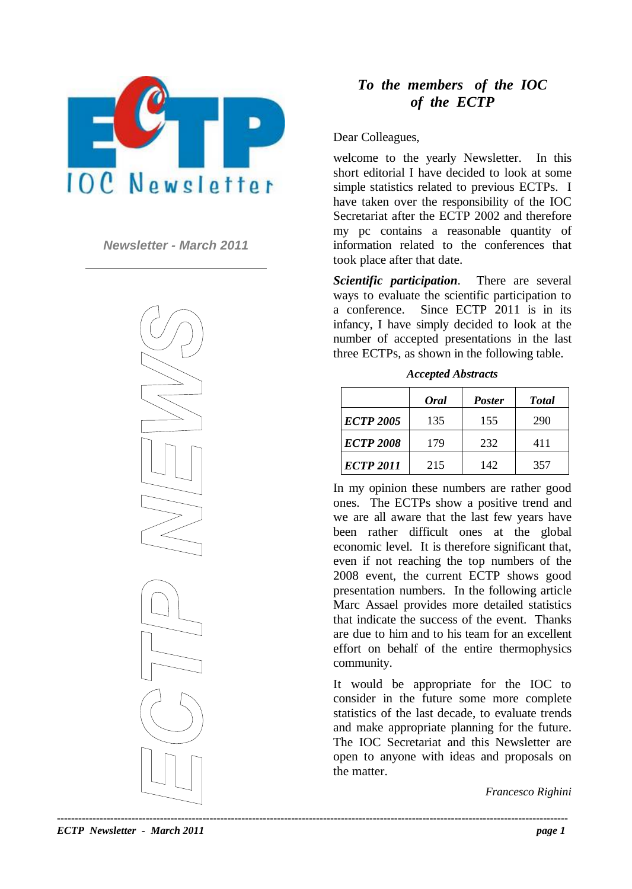

*Newsletter - March 2011*



## *To the members of the IOC of the ECTP*

## Dear Colleagues,

welcome to the yearly Newsletter. In this short editorial I have decided to look at some simple statistics related to previous ECTPs. I have taken over the responsibility of the IOC Secretariat after the ECTP 2002 and therefore my pc contains a reasonable quantity of information related to the conferences that took place after that date.

*Scientific participation*. There are several ways to evaluate the scientific participation to a conference. Since ECTP 2011 is in its infancy, I have simply decided to look at the number of accepted presentations in the last three ECTPs, as shown in the following table.

|                  | <b>Oral</b> | <b>Poster</b> | <b>Total</b> |
|------------------|-------------|---------------|--------------|
| <b>ECTP 2005</b> | 135         | 155           | 290          |
| <b>ECTP 2008</b> | 179         | 232           | 411          |
| <b>ECTP 2011</b> | 215         | 142           | 357          |

*Accepted Abstracts*

In my opinion these numbers are rather good ones. The ECTPs show a positive trend and we are all aware that the last few years have been rather difficult ones at the global economic level. It is therefore significant that, even if not reaching the top numbers of the 2008 event, the current ECTP shows good presentation numbers. In the following article Marc Assael provides more detailed statistics that indicate the success of the event. Thanks are due to him and to his team for an excellent effort on behalf of the entire thermophysics community.

It would be appropriate for the IOC to consider in the future some more complete statistics of the last decade, to evaluate trends and make appropriate planning for the future. The IOC Secretariat and this Newsletter are open to anyone with ideas and proposals on the matter.

*Francesco Righini*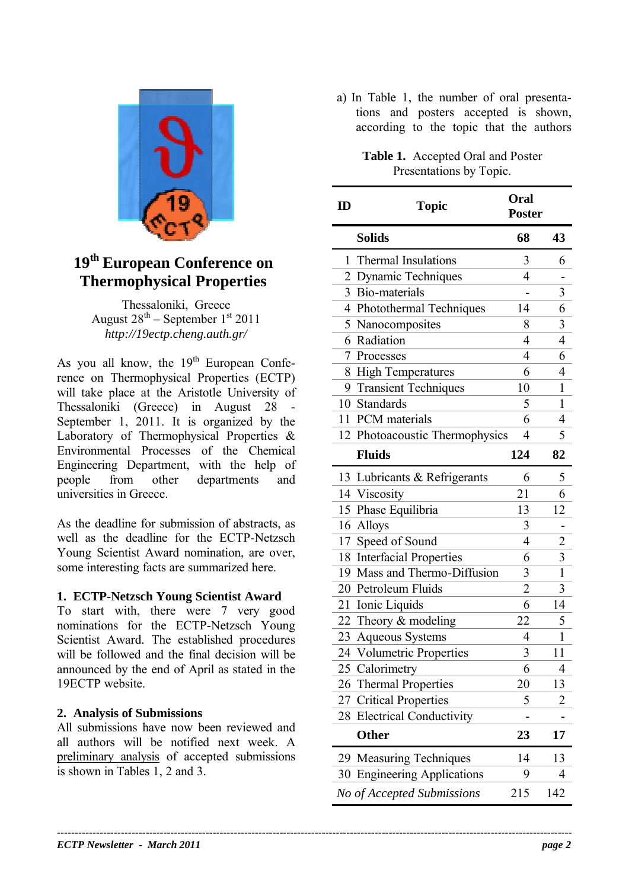

# **19th European Conference on Thermophysical Properties**

Thessaloniki, Greece August  $28^{th}$  – September  $1^{st}$  2011 *http://19ectp.cheng.auth.gr/*

As you all know, the  $19<sup>th</sup>$  European Conference on Thermophysical Properties (ECTP) will take place at the Aristotle University of Thessaloniki (Greece) in August 28 - September 1, 2011. It is organized by the Laboratory of Thermophysical Properties & Environmental Processes of the Chemical Engineering Department, with the help of people from other departments and universities in Greece.

As the deadline for submission of abstracts, as well as the deadline for the ECTP-Netzsch Young Scientist Award nomination, are over, some interesting facts are summarized here.

## **1. ECTP-Netzsch Young Scientist Award**

To start with, there were 7 very good nominations for the ECTP-Netzsch Young Scientist Award. The established procedures will be followed and the final decision will be announced by the end of April as stated in the 19ECTP website.

#### **2. Analysis of Submissions**

All submissions have now been reviewed and all authors will be notified next week. A preliminary analysis of accepted submissions is shown in Tables 1, 2 and 3.

a) In Table 1, the number of oral presentations and posters accepted is shown, according to the topic that the authors

> **Table 1.** Accepted Oral and Poster Presentations by Topic.

| ID             | Topic                           | <b>Oral</b><br><b>Poster</b> |                |
|----------------|---------------------------------|------------------------------|----------------|
|                | <b>Solids</b>                   | 68                           | 43             |
| 1              | <b>Thermal Insulations</b>      | 3                            | 6              |
| $\overline{2}$ | Dynamic Techniques              | 4                            |                |
| 3              | Bio-materials                   |                              | 3              |
|                | 4 Photothermal Techniques       | 14                           | 6              |
| 5 <sup>1</sup> | Nanocomposites                  | 8                            | 3              |
| 6              | Radiation                       | $\overline{4}$               | $\overline{4}$ |
| 7              | Processes                       | 4                            | 6              |
| 8              | <b>High Temperatures</b>        | 6                            | $\overline{4}$ |
|                | 9 Transient Techniques          | 10                           | 1              |
|                | 10 Standards                    | 5                            | 1              |
|                | 11 PCM materials                | 6                            | 4              |
|                | 12 Photoacoustic Thermophysics  | 4                            | 5              |
|                | <b>Fluids</b>                   | 124                          | 82             |
|                | 13 Lubricants & Refrigerants    | 6                            | 5              |
|                | 14 Viscosity                    | 21                           | 6              |
|                | 15 Phase Equilibria             | 13                           | 12             |
|                | 16 Alloys                       | 3                            |                |
| 17             | Speed of Sound                  | $\overline{4}$               | $\overline{c}$ |
| 18             | <b>Interfacial Properties</b>   | 6                            | 3              |
|                | 19 Mass and Thermo-Diffusion    | 3                            | $\mathbf{1}$   |
|                | 20 Petroleum Fluids             | $\overline{2}$               | 3              |
| 21             | Ionic Liquids                   | 6                            | 14             |
|                | 22 Theory & modeling            | 22                           | 5              |
| 23             | <b>Aqueous Systems</b>          | 4                            | 1              |
| 24             | <b>Volumetric Properties</b>    | 3                            | 11             |
| 25             | Calorimetry                     | 6                            | 4              |
| 26             | <b>Thermal Properties</b>       | 20                           | 13             |
| 27             | <b>Critical Properties</b>      | 5                            | 2              |
| 28             | <b>Electrical Conductivity</b>  |                              |                |
|                | <b>Other</b>                    | 23                           | 17             |
| 29             | <b>Measuring Techniques</b>     | 14                           | 13             |
| 30             | <b>Engineering Applications</b> | 9                            | 4              |
|                | No of Accepted Submissions      | 215                          | 142            |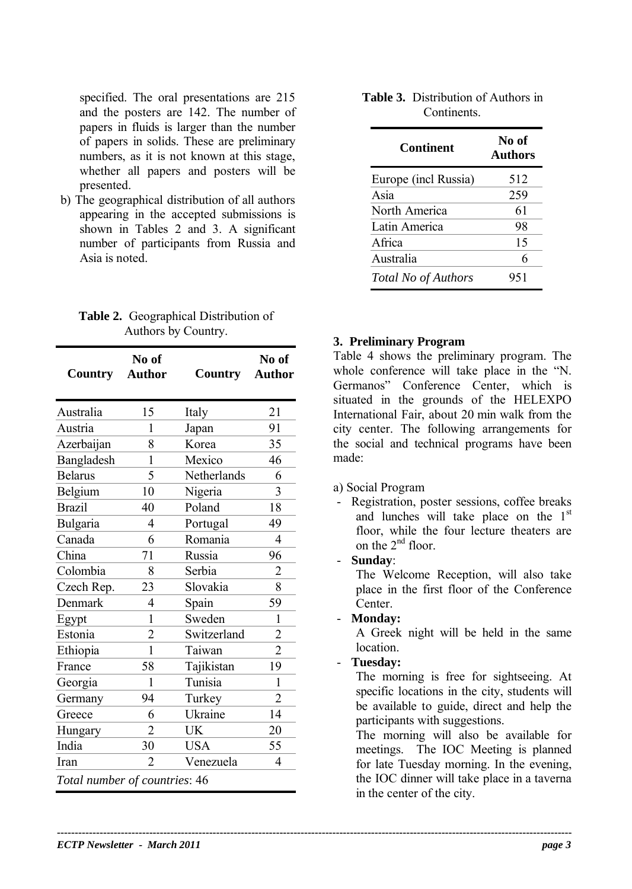specified. The oral presentations are 215 and the posters are 142. The number of papers in fluids is larger than the number of papers in solids. These are preliminary numbers, as it is not known at this stage, whether all papers and posters will be presented.

b) The geographical distribution of all authors appearing in the accepted submissions is shown in Tables 2 and 3. A significant number of participants from Russia and Asia is noted.

**Table 2.** Geographical Distribution of Authors by Country.

| Country                       | No of<br><b>Author</b> | Country     | No of<br><b>Author</b> |  |
|-------------------------------|------------------------|-------------|------------------------|--|
| Australia                     | 15                     | Italy       | 21                     |  |
| Austria                       | 1                      | Japan       | 91                     |  |
| Azerbaijan                    | 8                      | Korea       | 35                     |  |
| Bangladesh                    | 1                      | Mexico      | 46                     |  |
| <b>Belarus</b>                | 5                      | Netherlands | 6                      |  |
| Belgium                       | 10                     | Nigeria     | $\overline{3}$         |  |
| <b>Brazil</b>                 | 40                     | Poland      | 18                     |  |
| Bulgaria                      | $\overline{4}$         | Portugal    | 49                     |  |
| Canada                        | 6                      | Romania     | 4                      |  |
| China                         | 71                     | Russia      | 96                     |  |
| Colombia                      | 8                      | Serbia      | $\overline{2}$         |  |
| Czech Rep.                    | 23                     | Slovakia    | 8                      |  |
| Denmark                       | 4                      | Spain       | 59                     |  |
| Egypt                         | 1                      | Sweden      | 1                      |  |
| Estonia                       | $\overline{2}$         | Switzerland | 2                      |  |
| Ethiopia                      | 1                      | Taiwan      | $\overline{2}$         |  |
| France                        | 58                     | Tajikistan  | 19                     |  |
| Georgia                       | 1                      | Tunisia     | 1                      |  |
| Germany                       | 94                     | Turkey      | 2                      |  |
| Greece                        | 6                      | Ukraine     | 14                     |  |
| Hungary                       | $\overline{2}$         | UK          | 20                     |  |
| India                         | 30                     | <b>USA</b>  | 55                     |  |
| Iran                          | $\overline{2}$         | Venezuela   | 4                      |  |
| Total number of countries: 46 |                        |             |                        |  |

## **Table 3.** Distribution of Authors in **Continents**

| <b>Continent</b>     | No of<br>Authors |
|----------------------|------------------|
| Europe (incl Russia) | 512              |
| Asia                 | 259              |
| North America        | 61               |
| Latin America        | 98               |
| Africa               | 15               |
| Australia            | 6                |
| Total No of Authors  | 951              |

## **3. Preliminary Program**

Table 4 shows the preliminary program. The whole conference will take place in the "N. Germanos" Conference Center, which is situated in the grounds of the HELEXPO International Fair, about 20 min walk from the city center. The following arrangements for the social and technical programs have been made:

- a) Social Program
- Registration, poster sessions, coffee breaks and lunches will take place on the 1<sup>st</sup> floor, while the four lecture theaters are on the  $2^{nd}$  floor.
- **Sunday**:

The Welcome Reception, will also take place in the first floor of the Conference Center.

- **Monday:**

A Greek night will be held in the same location.

- **Tuesday:**

The morning is free for sightseeing. At specific locations in the city, students will be available to guide, direct and help the participants with suggestions.

The morning will also be available for meetings. The IOC Meeting is planned for late Tuesday morning. In the evening, the IOC dinner will take place in a taverna in the center of the city.